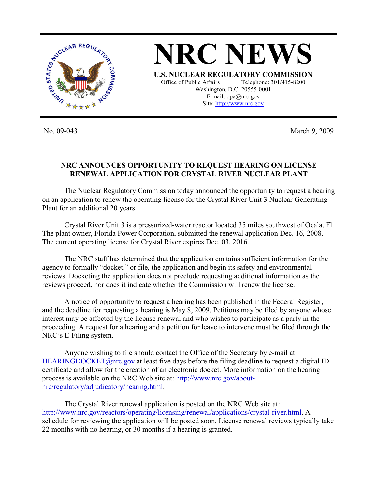

**NRC NEWS U.S. NUCLEAR REGULATORY COMMISSION** Office of Public Affairs Telephone: 301/415-8200 Washington, D.C. 20555-0001 E-mail: opa@nrc.gov Site: http://www.nrc.gov

No. 09-043 March 9, 2009

## **NRC ANNOUNCES OPPORTUNITY TO REQUEST HEARING ON LICENSE RENEWAL APPLICATION FOR CRYSTAL RIVER NUCLEAR PLANT**

 The Nuclear Regulatory Commission today announced the opportunity to request a hearing on an application to renew the operating license for the Crystal River Unit 3 Nuclear Generating Plant for an additional 20 years.

 Crystal River Unit 3 is a pressurized-water reactor located 35 miles southwest of Ocala, Fl. The plant owner, Florida Power Corporation, submitted the renewal application Dec. 16, 2008. The current operating license for Crystal River expires Dec. 03, 2016.

 The NRC staff has determined that the application contains sufficient information for the agency to formally "docket," or file, the application and begin its safety and environmental reviews. Docketing the application does not preclude requesting additional information as the reviews proceed, nor does it indicate whether the Commission will renew the license.

 A notice of opportunity to request a hearing has been published in the Federal Register, and the deadline for requesting a hearing is May 8, 2009. Petitions may be filed by anyone whose interest may be affected by the license renewal and who wishes to participate as a party in the proceeding. A request for a hearing and a petition for leave to intervene must be filed through the NRC's E-Filing system.

 Anyone wishing to file should contact the Office of the Secretary by e-mail at HEARINGDOCKET@nrc.gov at least five days before the filing deadline to request a digital ID certificate and allow for the creation of an electronic docket. More information on the hearing process is available on the NRC Web site at: http://www.nrc.gov/aboutnrc/regulatory/adjudicatory/hearing.html.

 The Crystal River renewal application is posted on the NRC Web site at: http://www.nrc.gov/reactors/operating/licensing/renewal/applications/crystal-river.html. A schedule for reviewing the application will be posted soon. License renewal reviews typically take 22 months with no hearing, or 30 months if a hearing is granted.